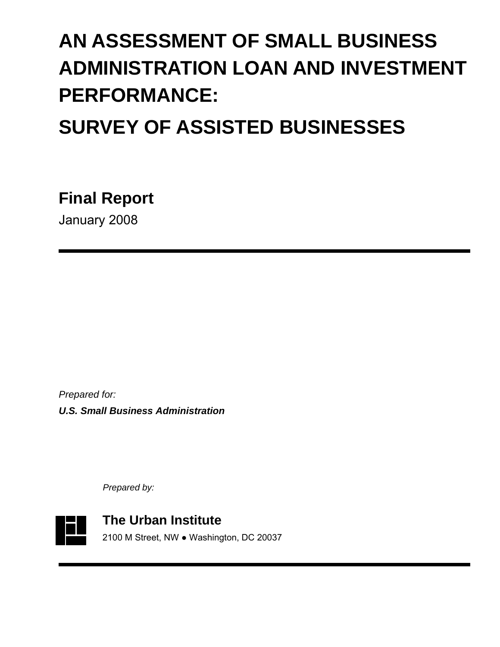# **AN ASSESSMENT OF SMALL BUSINESS ADMINISTRATION LOAN AND INVESTMENT PERFORMANCE:**

# **SURVEY OF ASSISTED BUSINESSES**

**Final Report** 

January 2008

*Prepared for: U.S. Small Business Administration* 

*Prepared by:*

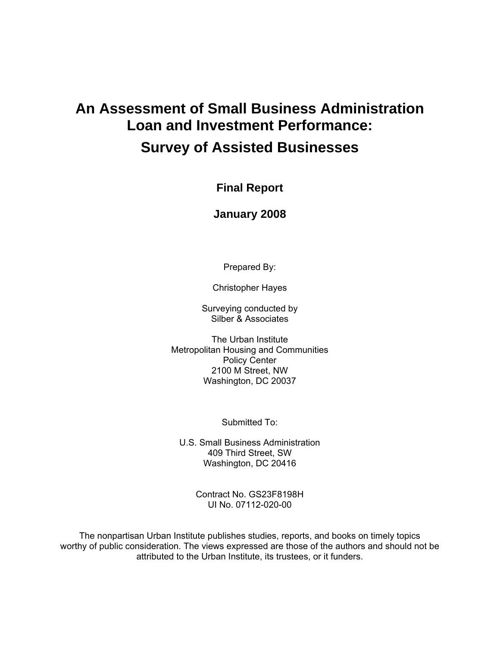# **An Assessment of Small Business Administration Loan and Investment Performance: Survey of Assisted Businesses**

**Final Report** 

**January 2008** 

Prepared By:

Christopher Hayes

Surveying conducted by Silber & Associates

The Urban Institute Metropolitan Housing and Communities Policy Center 2100 M Street, NW Washington, DC 20037

Submitted To:

U.S. Small Business Administration 409 Third Street, SW Washington, DC 20416

> Contract No. GS23F8198H UI No. 07112-020-00

The nonpartisan Urban Institute publishes studies, reports, and books on timely topics worthy of public consideration. The views expressed are those of the authors and should not be attributed to the Urban Institute, its trustees, or it funders.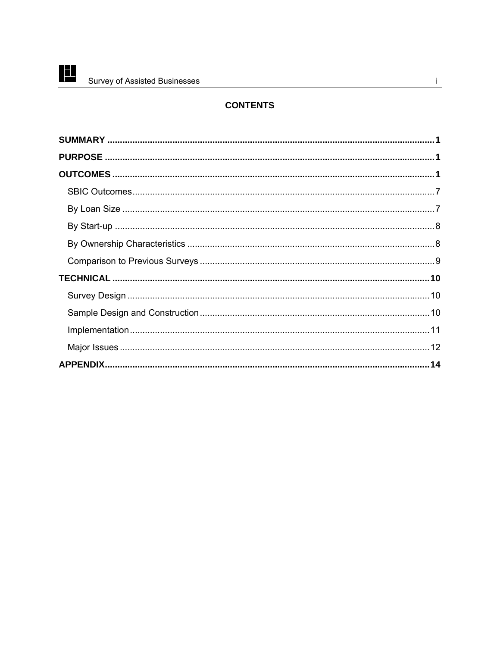F

# **CONTENTS**

 $\mathbf{i}$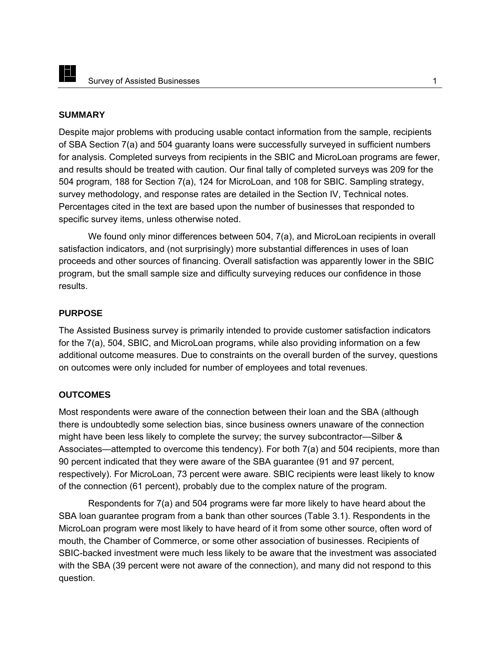#### **SUMMARY**

Despite major problems with producing usable contact information from the sample, recipients of SBA Section 7(a) and 504 guaranty loans were successfully surveyed in sufficient numbers for analysis. Completed surveys from recipients in the SBIC and MicroLoan programs are fewer, and results should be treated with caution. Our final tally of completed surveys was 209 for the 504 program, 188 for Section 7(a), 124 for MicroLoan, and 108 for SBIC. Sampling strategy, survey methodology, and response rates are detailed in the Section IV, Technical notes. Percentages cited in the text are based upon the number of businesses that responded to specific survey items, unless otherwise noted.

We found only minor differences between 504, 7(a), and MicroLoan recipients in overall satisfaction indicators, and (not surprisingly) more substantial differences in uses of loan proceeds and other sources of financing. Overall satisfaction was apparently lower in the SBIC program, but the small sample size and difficulty surveying reduces our confidence in those results.

#### **PURPOSE**

The Assisted Business survey is primarily intended to provide customer satisfaction indicators for the 7(a), 504, SBIC, and MicroLoan programs, while also providing information on a few additional outcome measures. Due to constraints on the overall burden of the survey, questions on outcomes were only included for number of employees and total revenues.

#### **OUTCOMES**

Most respondents were aware of the connection between their loan and the SBA (although there is undoubtedly some selection bias, since business owners unaware of the connection might have been less likely to complete the survey; the survey subcontractor—Silber & Associates—attempted to overcome this tendency). For both 7(a) and 504 recipients, more than 90 percent indicated that they were aware of the SBA guarantee (91 and 97 percent, respectively). For MicroLoan, 73 percent were aware. SBIC recipients were least likely to know of the connection (61 percent), probably due to the complex nature of the program.

Respondents for 7(a) and 504 programs were far more likely to have heard about the SBA loan guarantee program from a bank than other sources (Table 3.1). Respondents in the MicroLoan program were most likely to have heard of it from some other source, often word of mouth, the Chamber of Commerce, or some other association of businesses. Recipients of SBIC-backed investment were much less likely to be aware that the investment was associated with the SBA (39 percent were not aware of the connection), and many did not respond to this question.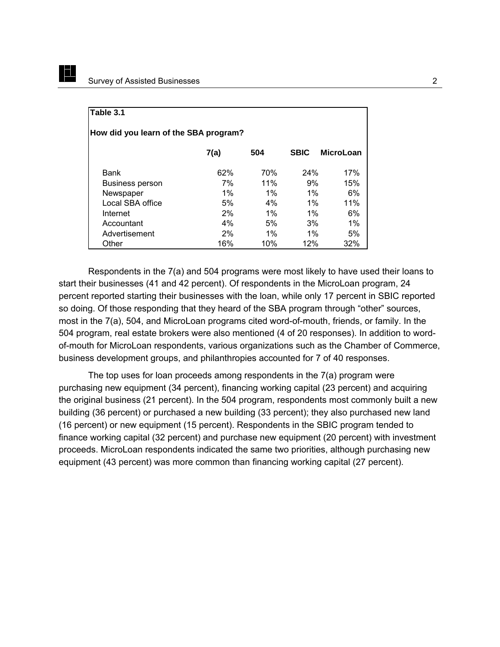EL

| Table 3.1                             |       |       |             |                  |  |  |  |  |
|---------------------------------------|-------|-------|-------------|------------------|--|--|--|--|
| How did you learn of the SBA program? |       |       |             |                  |  |  |  |  |
|                                       | 7(a)  | 504   | <b>SBIC</b> | <b>MicroLoan</b> |  |  |  |  |
| Bank                                  | 62%   | 70%   | 24%         | 17%              |  |  |  |  |
| <b>Business person</b>                | 7%    | 11%   | 9%          | 15%              |  |  |  |  |
| Newspaper                             | $1\%$ | $1\%$ | $1\%$       | 6%               |  |  |  |  |
| Local SBA office                      | 5%    | $4\%$ | $1\%$       | 11%              |  |  |  |  |
| Internet                              | 2%    | $1\%$ | $1\%$       | 6%               |  |  |  |  |
| Accountant                            | 4%    | 5%    | 3%          | 1%               |  |  |  |  |
| Advertisement                         | 2%    | $1\%$ | $1\%$       | 5%               |  |  |  |  |
| Other                                 | 16%   | 10%   | 12%         | 32%              |  |  |  |  |

Respondents in the 7(a) and 504 programs were most likely to have used their loans to start their businesses (41 and 42 percent). Of respondents in the MicroLoan program, 24 percent reported starting their businesses with the loan, while only 17 percent in SBIC reported so doing. Of those responding that they heard of the SBA program through "other" sources, most in the 7(a), 504, and MicroLoan programs cited word-of-mouth, friends, or family. In the 504 program, real estate brokers were also mentioned (4 of 20 responses). In addition to wordof-mouth for MicroLoan respondents, various organizations such as the Chamber of Commerce, business development groups, and philanthropies accounted for 7 of 40 responses.

The top uses for loan proceeds among respondents in the 7(a) program were purchasing new equipment (34 percent), financing working capital (23 percent) and acquiring the original business (21 percent). In the 504 program, respondents most commonly built a new building (36 percent) or purchased a new building (33 percent); they also purchased new land (16 percent) or new equipment (15 percent). Respondents in the SBIC program tended to finance working capital (32 percent) and purchase new equipment (20 percent) with investment proceeds. MicroLoan respondents indicated the same two priorities, although purchasing new equipment (43 percent) was more common than financing working capital (27 percent).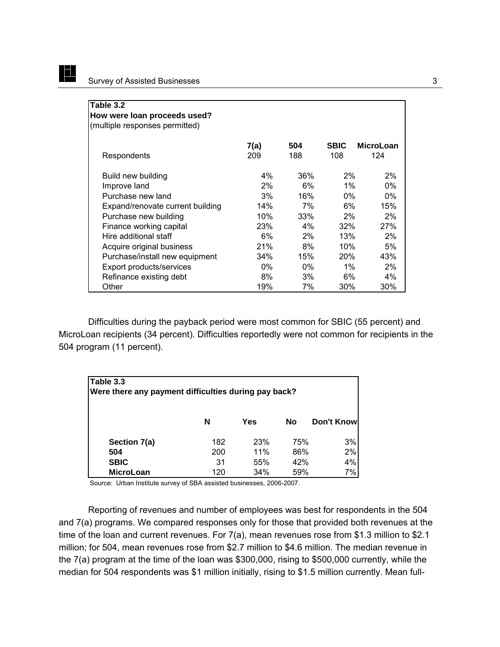E

| Table 3.2<br>How were loan proceeds used?<br>(multiple responses permitted) |             |            |                    |                         |
|-----------------------------------------------------------------------------|-------------|------------|--------------------|-------------------------|
| Respondents                                                                 | 7(a)<br>209 | 504<br>188 | <b>SBIC</b><br>108 | <b>MicroLoan</b><br>124 |
| Build new building                                                          | $4\%$       | 36%        | 2%                 | $2\%$                   |
| Improve land                                                                | 2%          | 6%         | 1%                 | 0%                      |
| Purchase new land                                                           | 3%          | 16%        | $0\%$              | $0\%$                   |
| Expand/renovate current building                                            | 14%         | 7%         | 6%                 | 15%                     |
| Purchase new building                                                       | 10%         | 33%        | 2%                 | 2%                      |
| Finance working capital                                                     | 23%         | $4\%$      | 32%                | 27%                     |
| Hire additional staff                                                       | 6%          | $2\%$      | 13%                | 2%                      |
| Acquire original business                                                   | 21%         | 8%         | 10%                | 5%                      |
| Purchase/install new equipment                                              | 34%         | 15%        | <b>20%</b>         | 43%                     |
| Export products/services                                                    | $0\%$       | 0%         | $1\%$              | 2%                      |
| Refinance existing debt                                                     | 8%          | 3%         | 6%                 | 4%                      |
| Other                                                                       | 19%         | 7%         | 30%                | 30%                     |

Difficulties during the payback period were most common for SBIC (55 percent) and MicroLoan recipients (34 percent). Difficulties reportedly were not common for recipients in the 504 program (11 percent).

| Table 3.3                                            |     |     |     |            |  |  |  |  |
|------------------------------------------------------|-----|-----|-----|------------|--|--|--|--|
| Were there any payment difficulties during pay back? |     |     |     |            |  |  |  |  |
|                                                      |     |     |     |            |  |  |  |  |
|                                                      | N   | Yes | No  | Don't Know |  |  |  |  |
| Section 7(a)                                         | 182 | 23% | 75% | 3%         |  |  |  |  |
| 504                                                  | 200 | 11% | 86% | 2%         |  |  |  |  |
| <b>SBIC</b>                                          | 31  | 55% | 42% | 4%         |  |  |  |  |
| <b>MicroLoan</b>                                     | 120 | 34% | 59% | 7%         |  |  |  |  |

Source: Urban Institute survey of SBA assisted businesses, 2006-2007.

Reporting of revenues and number of employees was best for respondents in the 504 and 7(a) programs. We compared responses only for those that provided both revenues at the time of the loan and current revenues. For 7(a), mean revenues rose from \$1.3 million to \$2.1 million; for 504, mean revenues rose from \$2.7 million to \$4.6 million. The median revenue in the 7(a) program at the time of the loan was \$300,000, rising to \$500,000 currently, while the median for 504 respondents was \$1 million initially, rising to \$1.5 million currently. Mean full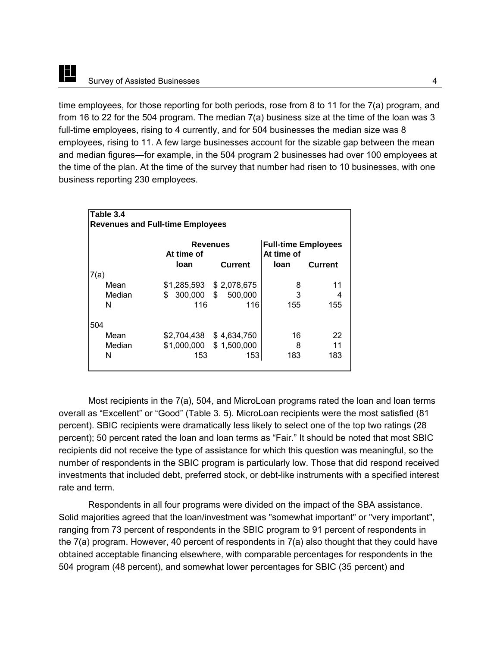E

time employees, for those reporting for both periods, rose from 8 to 11 for the 7(a) program, and from 16 to 22 for the 504 program. The median 7(a) business size at the time of the loan was 3 full-time employees, rising to 4 currently, and for 504 businesses the median size was 8 employees, rising to 11. A few large businesses account for the sizable gap between the mean and median figures—for example, in the 504 program 2 businesses had over 100 employees at the time of the plan. At the time of the survey that number had risen to 10 businesses, with one business reporting 230 employees.

| Table 3.4                               |                    |                                   |                                                         |                |  |  |  |  |
|-----------------------------------------|--------------------|-----------------------------------|---------------------------------------------------------|----------------|--|--|--|--|
| <b>Revenues and Full-time Employees</b> |                    |                                   |                                                         |                |  |  |  |  |
|                                         | At time of<br>loan | <b>Revenues</b><br><b>Current</b> | <b>Full-time Employees</b><br>At time of<br><b>loan</b> | <b>Current</b> |  |  |  |  |
| 7(a)                                    |                    |                                   |                                                         |                |  |  |  |  |
| Mean                                    |                    | \$1,285,593 \$2,078,675           | 8                                                       | 11             |  |  |  |  |
| Median                                  | 300,000 \$<br>\$   | 500,000                           | 3                                                       | 4              |  |  |  |  |
| N                                       | 116                | 116                               | 155                                                     | 155            |  |  |  |  |
| 504                                     |                    |                                   |                                                         |                |  |  |  |  |
| Mean                                    | \$2,704,438        | \$4,634,750                       | 16                                                      | 22             |  |  |  |  |
| Median                                  |                    | \$1,000,000 \$1,500,000           | 8                                                       | 11             |  |  |  |  |
| N                                       | 153                | 153                               | 183                                                     | 183            |  |  |  |  |

Most recipients in the 7(a), 504, and MicroLoan programs rated the loan and loan terms overall as "Excellent" or "Good" (Table 3. 5). MicroLoan recipients were the most satisfied (81 percent). SBIC recipients were dramatically less likely to select one of the top two ratings (28 percent); 50 percent rated the loan and loan terms as "Fair." It should be noted that most SBIC recipients did not receive the type of assistance for which this question was meaningful, so the number of respondents in the SBIC program is particularly low. Those that did respond received investments that included debt, preferred stock, or debt-like instruments with a specified interest rate and term.

Respondents in all four programs were divided on the impact of the SBA assistance. Solid majorities agreed that the loan/investment was "somewhat important" or "very important", ranging from 73 percent of respondents in the SBIC program to 91 percent of respondents in the 7(a) program. However, 40 percent of respondents in 7(a) also thought that they could have obtained acceptable financing elsewhere, with comparable percentages for respondents in the 504 program (48 percent), and somewhat lower percentages for SBIC (35 percent) and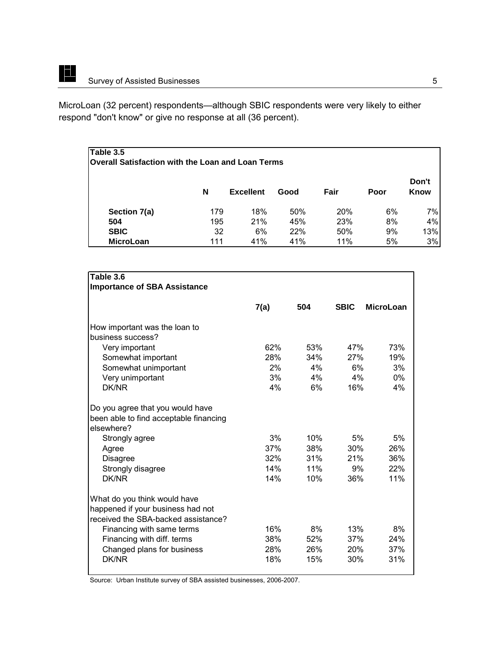<u>ist</u>

MicroLoan (32 percent) respondents—although SBIC respondents were very likely to either respond "don't know" or give no response at all (36 percent).

# **Table 3.5 Overall Satisfaction with the Loan and Loan Terms N Excellent Good Fair Poor Don't Know Section 7(a)** 179 18% 50% 20% 6% 7% **504** 195 21% 45% 23% 8% 4% **SBIC** 32 6% 22% 50% 9% 13% **MicroLoan** 111 41% 41% 11% 5% 3%

| Table 3.6                              |      |     |             |                  |
|----------------------------------------|------|-----|-------------|------------------|
| <b>Importance of SBA Assistance</b>    |      |     |             |                  |
|                                        |      |     |             |                  |
|                                        | 7(a) | 504 | <b>SBIC</b> | <b>MicroLoan</b> |
| How important was the loan to          |      |     |             |                  |
| business success?                      |      |     |             |                  |
| Very important                         | 62%  | 53% | 47%         | 73%              |
| Somewhat important                     | 28%  | 34% | 27%         | 19%              |
| Somewhat unimportant                   | 2%   | 4%  | 6%          | 3%               |
| Very unimportant                       | 3%   | 4%  | 4%          | $0\%$            |
| DK/NR                                  | 4%   | 6%  | 16%         | 4%               |
| Do you agree that you would have       |      |     |             |                  |
| been able to find acceptable financing |      |     |             |                  |
| elsewhere?                             |      |     |             |                  |
| Strongly agree                         | 3%   | 10% | 5%          | 5%               |
| Agree                                  | 37%  | 38% | 30%         | 26%              |
| <b>Disagree</b>                        | 32%  | 31% | 21%         | 36%              |
| Strongly disagree                      | 14%  | 11% | 9%          | 22%              |
| DK/NR                                  | 14%  | 10% | 36%         | 11%              |
| What do you think would have           |      |     |             |                  |
| happened if your business had not      |      |     |             |                  |
| received the SBA-backed assistance?    |      |     |             |                  |
| Financing with same terms              | 16%  | 8%  | 13%         | 8%               |
| Financing with diff. terms             | 38%  | 52% | 37%         | 24%              |
| Changed plans for business             | 28%  | 26% | <b>20%</b>  | 37%              |
| <b>DK/NR</b>                           | 18%  | 15% | 30%         | 31%              |
|                                        |      |     |             |                  |

Source: Urban Institute survey of SBA assisted businesses, 2006-2007.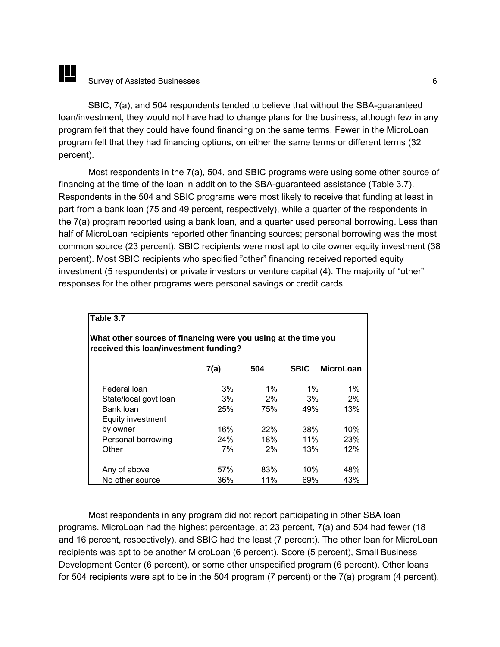<u>id</u>

SBIC, 7(a), and 504 respondents tended to believe that without the SBA-guaranteed loan/investment, they would not have had to change plans for the business, although few in any program felt that they could have found financing on the same terms. Fewer in the MicroLoan program felt that they had financing options, on either the same terms or different terms (32 percent).

Most respondents in the 7(a), 504, and SBIC programs were using some other source of financing at the time of the loan in addition to the SBA-guaranteed assistance (Table 3.7). Respondents in the 504 and SBIC programs were most likely to receive that funding at least in part from a bank loan (75 and 49 percent, respectively), while a quarter of the respondents in the 7(a) program reported using a bank loan, and a quarter used personal borrowing. Less than half of MicroLoan recipients reported other financing sources; personal borrowing was the most common source (23 percent). SBIC recipients were most apt to cite owner equity investment (38 percent). Most SBIC recipients who specified "other" financing received reported equity investment (5 respondents) or private investors or venture capital (4). The majority of "other" responses for the other programs were personal savings or credit cards.

| Table 3.7                                                                                                |       |            |             |                  |  |  |  |  |
|----------------------------------------------------------------------------------------------------------|-------|------------|-------------|------------------|--|--|--|--|
| What other sources of financing were you using at the time you<br>received this loan/investment funding? |       |            |             |                  |  |  |  |  |
|                                                                                                          | 7(a)  | 504        | <b>SBIC</b> | <b>MicroLoan</b> |  |  |  |  |
| Federal Ioan                                                                                             | 3%    | $1\%$      | $1\%$       | $1\%$            |  |  |  |  |
| State/local govt loan                                                                                    | $3\%$ | $2\%$      | $3\%$       | 2%               |  |  |  |  |
| Bank loan<br>Equity investment                                                                           | 25%   | 75%        | 49%         | 13%              |  |  |  |  |
| by owner                                                                                                 | 16%   | <b>22%</b> | 38%         | 10%              |  |  |  |  |
| Personal borrowing                                                                                       | 24%   | 18%        | 11%         | 23%              |  |  |  |  |
| Other                                                                                                    | 7%    | $2\%$      | 13%         | 12%              |  |  |  |  |
| Any of above                                                                                             | 57%   | 83%        | 10%         | 48%              |  |  |  |  |
| No other source                                                                                          | 36%   | 11%        | 69%         | 43%              |  |  |  |  |

Most respondents in any program did not report participating in other SBA loan programs. MicroLoan had the highest percentage, at 23 percent, 7(a) and 504 had fewer (18 and 16 percent, respectively), and SBIC had the least (7 percent). The other loan for MicroLoan recipients was apt to be another MicroLoan (6 percent), Score (5 percent), Small Business Development Center (6 percent), or some other unspecified program (6 percent). Other loans for 504 recipients were apt to be in the 504 program (7 percent) or the 7(a) program (4 percent).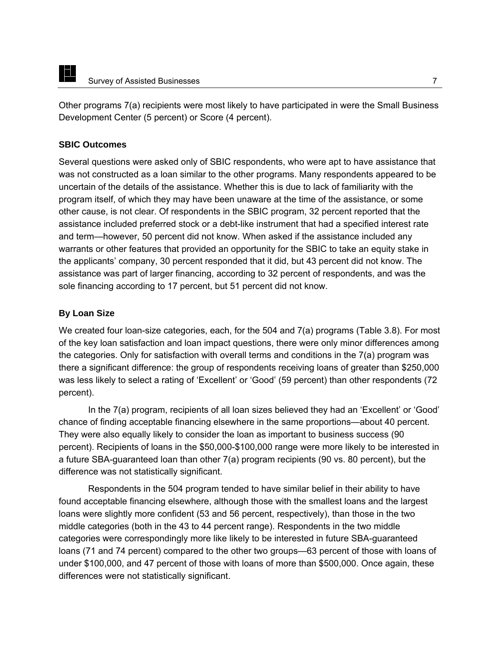Other programs 7(a) recipients were most likely to have participated in were the Small Business Development Center (5 percent) or Score (4 percent).

# **SBIC Outcomes**

Several questions were asked only of SBIC respondents, who were apt to have assistance that was not constructed as a loan similar to the other programs. Many respondents appeared to be uncertain of the details of the assistance. Whether this is due to lack of familiarity with the program itself, of which they may have been unaware at the time of the assistance, or some other cause, is not clear. Of respondents in the SBIC program, 32 percent reported that the assistance included preferred stock or a debt-like instrument that had a specified interest rate and term—however, 50 percent did not know. When asked if the assistance included any warrants or other features that provided an opportunity for the SBIC to take an equity stake in the applicants' company, 30 percent responded that it did, but 43 percent did not know. The assistance was part of larger financing, according to 32 percent of respondents, and was the sole financing according to 17 percent, but 51 percent did not know.

# **By Loan Size**

We created four loan-size categories, each, for the 504 and 7(a) programs (Table 3.8). For most of the key loan satisfaction and loan impact questions, there were only minor differences among the categories. Only for satisfaction with overall terms and conditions in the 7(a) program was there a significant difference: the group of respondents receiving loans of greater than \$250,000 was less likely to select a rating of 'Excellent' or 'Good' (59 percent) than other respondents (72 percent).

In the 7(a) program, recipients of all loan sizes believed they had an 'Excellent' or 'Good' chance of finding acceptable financing elsewhere in the same proportions—about 40 percent. They were also equally likely to consider the loan as important to business success (90 percent). Recipients of loans in the \$50,000-\$100,000 range were more likely to be interested in a future SBA-guaranteed loan than other 7(a) program recipients (90 vs. 80 percent), but the difference was not statistically significant.

Respondents in the 504 program tended to have similar belief in their ability to have found acceptable financing elsewhere, although those with the smallest loans and the largest loans were slightly more confident (53 and 56 percent, respectively), than those in the two middle categories (both in the 43 to 44 percent range). Respondents in the two middle categories were correspondingly more like likely to be interested in future SBA-guaranteed loans (71 and 74 percent) compared to the other two groups—63 percent of those with loans of under \$100,000, and 47 percent of those with loans of more than \$500,000. Once again, these differences were not statistically significant.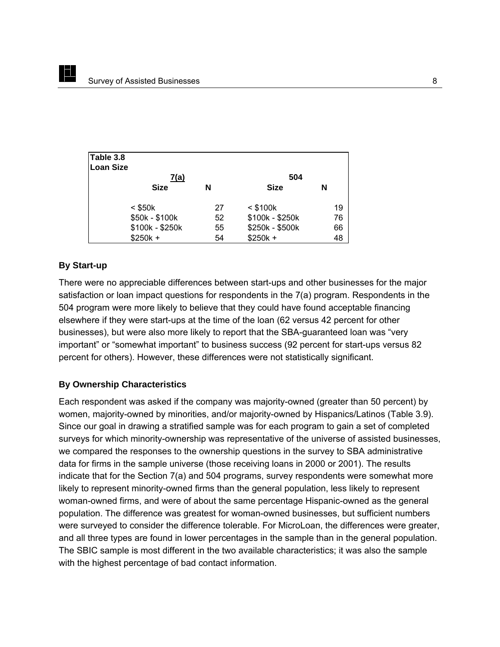| Table 3.8        |                 |    |                 |    |
|------------------|-----------------|----|-----------------|----|
| <b>Loan Size</b> |                 |    |                 |    |
|                  | <u>7(a)</u>     |    | 504             |    |
|                  | <b>Size</b>     | N  | <b>Size</b>     | N  |
|                  | $<$ \$50 $k$    | 27 | $<$ \$100 $k$   | 19 |
|                  | \$50k - \$100k  | 52 | \$100k - \$250k | 76 |
|                  | \$100k - \$250k | 55 | \$250k - \$500k | 66 |
|                  | $$250k +$       | 54 | $$250k +$       | 48 |

#### **By Start-up**

<u>id</u>

There were no appreciable differences between start-ups and other businesses for the major satisfaction or loan impact questions for respondents in the 7(a) program. Respondents in the 504 program were more likely to believe that they could have found acceptable financing elsewhere if they were start-ups at the time of the loan (62 versus 42 percent for other businesses), but were also more likely to report that the SBA-guaranteed loan was "very important" or "somewhat important" to business success (92 percent for start-ups versus 82 percent for others). However, these differences were not statistically significant.

#### **By Ownership Characteristics**

Each respondent was asked if the company was majority-owned (greater than 50 percent) by women, majority-owned by minorities, and/or majority-owned by Hispanics/Latinos (Table 3.9). Since our goal in drawing a stratified sample was for each program to gain a set of completed surveys for which minority-ownership was representative of the universe of assisted businesses, we compared the responses to the ownership questions in the survey to SBA administrative data for firms in the sample universe (those receiving loans in 2000 or 2001). The results indicate that for the Section 7(a) and 504 programs, survey respondents were somewhat more likely to represent minority-owned firms than the general population, less likely to represent woman-owned firms, and were of about the same percentage Hispanic-owned as the general population. The difference was greatest for woman-owned businesses, but sufficient numbers were surveyed to consider the difference tolerable. For MicroLoan, the differences were greater, and all three types are found in lower percentages in the sample than in the general population. The SBIC sample is most different in the two available characteristics; it was also the sample with the highest percentage of bad contact information.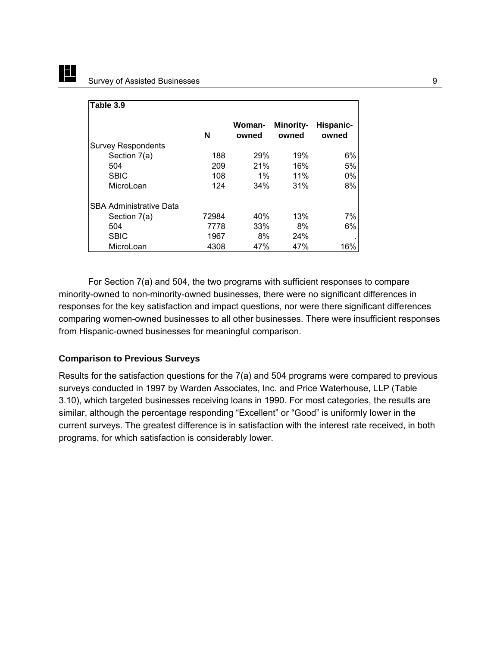EL

| Table 3.9                      |       |                 |                           |                    |
|--------------------------------|-------|-----------------|---------------------------|--------------------|
|                                | N     | Woman-<br>owned | <b>Minority-</b><br>owned | Hispanic-<br>owned |
| <b>Survey Respondents</b>      |       |                 |                           |                    |
| Section 7(a)                   | 188   | 29%             | 19%                       | 6%                 |
| 504                            | 209   | 21%             | 16%                       | 5%                 |
| <b>SBIC</b>                    | 108   | $1\%$           | 11%                       | $0\%$              |
| MicroLoan                      | 124   | 34%             | 31%                       | 8%                 |
| <b>SBA Administrative Data</b> |       |                 |                           |                    |
| Section 7(a)                   | 72984 | 40%             | 13%                       | 7%                 |
| 504                            | 7778  | 33%             | 8%                        | 6%                 |
| <b>SBIC</b>                    | 1967  | 8%              | 24%                       |                    |
| MicroLoan                      | 4308  | 47%             | 47%                       | 16%                |

For Section 7(a) and 504, the two programs with sufficient responses to compare minority-owned to non-minority-owned businesses, there were no significant differences in responses for the key satisfaction and impact questions, nor were there significant differences comparing women-owned businesses to all other businesses. There were insufficient responses from Hispanic-owned businesses for meaningful comparison.

#### **Comparison to Previous Surveys**

Results for the satisfaction questions for the 7(a) and 504 programs were compared to previous surveys conducted in 1997 by Warden Associates, Inc. and Price Waterhouse, LLP (Table 3.10), which targeted businesses receiving loans in 1990. For most categories, the results are similar, although the percentage responding "Excellent" or "Good" is uniformly lower in the current surveys. The greatest difference is in satisfaction with the interest rate received, in both programs, for which satisfaction is considerably lower.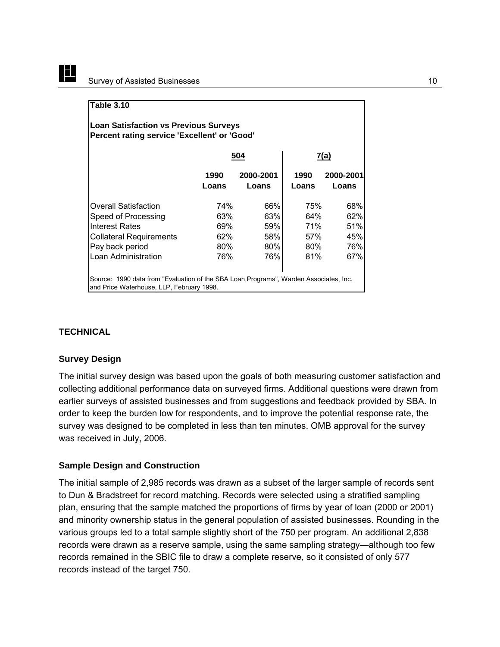| <b>Table 3.10</b>                                                                                                                  |               |                    |               |                    |  |  |  |  |
|------------------------------------------------------------------------------------------------------------------------------------|---------------|--------------------|---------------|--------------------|--|--|--|--|
| <b>Loan Satisfaction vs Previous Surveys</b><br>Percent rating service 'Excellent' or 'Good'                                       |               |                    |               |                    |  |  |  |  |
| 504<br><u>7(a)</u>                                                                                                                 |               |                    |               |                    |  |  |  |  |
|                                                                                                                                    | 1990<br>Loans | 2000-2001<br>Loans | 1990<br>Loans | 2000-2001<br>Loans |  |  |  |  |
| Overall Satisfaction                                                                                                               | 74%           | 66%                | 75%           | 68%                |  |  |  |  |
| Speed of Processing<br>Interest Rates                                                                                              | 63%<br>69%    | 63%<br>59%         | 64%<br>71%    | 62%<br>51%         |  |  |  |  |
| <b>Collateral Requirements</b>                                                                                                     | 62%           | 58%                | 57%           | 45%                |  |  |  |  |
| Pay back period                                                                                                                    | $80\%$        | 80%                | $80\%$        | 76%                |  |  |  |  |
| Loan Administration                                                                                                                | 76%           | 76%                | 81%           | 67%                |  |  |  |  |
| Source: 1990 data from "Evaluation of the SBA Loan Programs", Warden Associates, Inc.<br>and Price Waterhouse, LLP, February 1998. |               |                    |               |                    |  |  |  |  |

#### **TECHNICAL**

IEL

#### **Survey Design**

The initial survey design was based upon the goals of both measuring customer satisfaction and collecting additional performance data on surveyed firms. Additional questions were drawn from earlier surveys of assisted businesses and from suggestions and feedback provided by SBA. In order to keep the burden low for respondents, and to improve the potential response rate, the survey was designed to be completed in less than ten minutes. OMB approval for the survey was received in July, 2006.

#### **Sample Design and Construction**

The initial sample of 2,985 records was drawn as a subset of the larger sample of records sent to Dun & Bradstreet for record matching. Records were selected using a stratified sampling plan, ensuring that the sample matched the proportions of firms by year of loan (2000 or 2001) and minority ownership status in the general population of assisted businesses. Rounding in the various groups led to a total sample slightly short of the 750 per program. An additional 2,838 records were drawn as a reserve sample, using the same sampling strategy—although too few records remained in the SBIC file to draw a complete reserve, so it consisted of only 577 records instead of the target 750.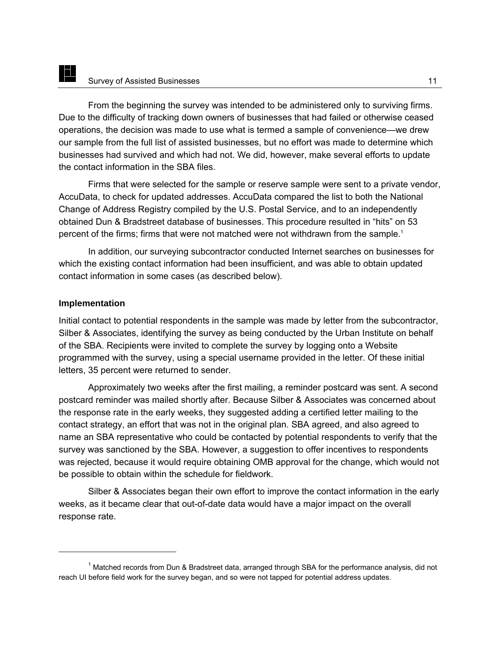From the beginning the survey was intended to be administered only to surviving firms. Due to the difficulty of tracking down owners of businesses that had failed or otherwise ceased operations, the decision was made to use what is termed a sample of convenience—we drew our sample from the full list of assisted businesses, but no effort was made to determine which businesses had survived and which had not. We did, however, make several efforts to update the contact information in the SBA files.

Firms that were selected for the sample or reserve sample were sent to a private vendor, AccuData, to check for updated addresses. AccuData compared the list to both the National Change of Address Registry compiled by the U.S. Postal Service, and to an independently obtained Dun & Bradstreet database of businesses. This procedure resulted in "hits" on 53 percent of the firms; firms that were not matched were not withdrawn from the sample.<sup>1</sup>

In addition, our surveying subcontractor conducted Internet searches on businesses for which the existing contact information had been insufficient, and was able to obtain updated contact information in some cases (as described below).

## **Implementation**

E

 $\overline{a}$ 

Initial contact to potential respondents in the sample was made by letter from the subcontractor, Silber & Associates, identifying the survey as being conducted by the Urban Institute on behalf of the SBA. Recipients were invited to complete the survey by logging onto a Website programmed with the survey, using a special username provided in the letter. Of these initial letters, 35 percent were returned to sender.

Approximately two weeks after the first mailing, a reminder postcard was sent. A second postcard reminder was mailed shortly after. Because Silber & Associates was concerned about the response rate in the early weeks, they suggested adding a certified letter mailing to the contact strategy, an effort that was not in the original plan. SBA agreed, and also agreed to name an SBA representative who could be contacted by potential respondents to verify that the survey was sanctioned by the SBA. However, a suggestion to offer incentives to respondents was rejected, because it would require obtaining OMB approval for the change, which would not be possible to obtain within the schedule for fieldwork.

Silber & Associates began their own effort to improve the contact information in the early weeks, as it became clear that out-of-date data would have a major impact on the overall response rate.

<sup>&</sup>lt;sup>1</sup> Matched records from Dun & Bradstreet data, arranged through SBA for the performance analysis, did not reach UI before field work for the survey began, and so were not tapped for potential address updates.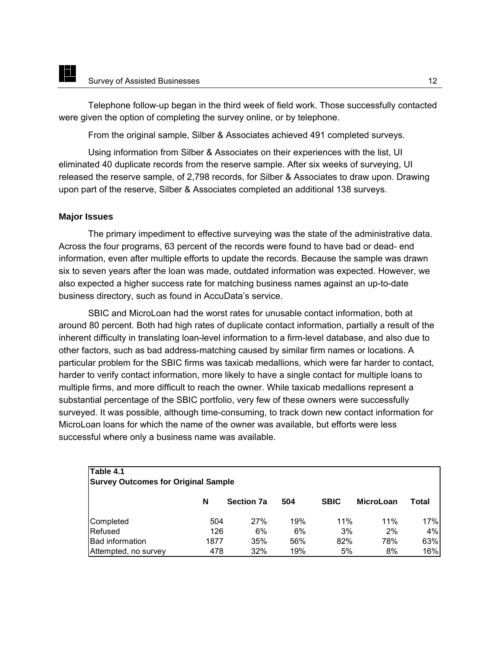Telephone follow-up began in the third week of field work. Those successfully contacted were given the option of completing the survey online, or by telephone.

From the original sample, Silber & Associates achieved 491 completed surveys.

Using information from Silber & Associates on their experiences with the list, UI eliminated 40 duplicate records from the reserve sample. After six weeks of surveying, UI released the reserve sample, of 2,798 records, for Silber & Associates to draw upon. Drawing upon part of the reserve, Silber & Associates completed an additional 138 surveys.

#### **Major Issues**

E

The primary impediment to effective surveying was the state of the administrative data. Across the four programs, 63 percent of the records were found to have bad or dead- end information, even after multiple efforts to update the records. Because the sample was drawn six to seven years after the loan was made, outdated information was expected. However, we also expected a higher success rate for matching business names against an up-to-date business directory, such as found in AccuData's service.

SBIC and MicroLoan had the worst rates for unusable contact information, both at around 80 percent. Both had high rates of duplicate contact information, partially a result of the inherent difficulty in translating loan-level information to a firm-level database, and also due to other factors, such as bad address-matching caused by similar firm names or locations. A particular problem for the SBIC firms was taxicab medallions, which were far harder to contact, harder to verify contact information, more likely to have a single contact for multiple loans to multiple firms, and more difficult to reach the owner. While taxicab medallions represent a substantial percentage of the SBIC portfolio, very few of these owners were successfully surveyed. It was possible, although time-consuming, to track down new contact information for MicroLoan loans for which the name of the owner was available, but efforts were less successful where only a business name was available.

| Table 4.1<br><b>Survey Outcomes for Original Sample</b> |      |                   |     |             |                  |       |  |  |
|---------------------------------------------------------|------|-------------------|-----|-------------|------------------|-------|--|--|
|                                                         | N    | <b>Section 7a</b> | 504 | <b>SBIC</b> | <b>MicroLoan</b> | Total |  |  |
| Completed                                               | 504  | 27%               | 19% | 11%         | 11%              | 17%   |  |  |
| Refused                                                 | 126  | 6%                | 6%  | 3%          | 2%               | 4%    |  |  |
| <b>Bad information</b>                                  | 1877 | 35%               | 56% | 82%         | 78%              | 63%   |  |  |
| Attempted, no survey                                    | 478  | 32%               | 19% | 5%          | 8%               | 16%   |  |  |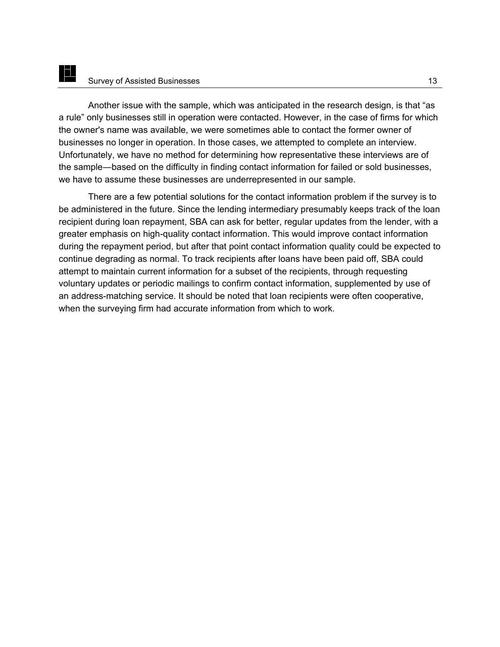E

Another issue with the sample, which was anticipated in the research design, is that "as a rule" only businesses still in operation were contacted. However, in the case of firms for which the owner's name was available, we were sometimes able to contact the former owner of businesses no longer in operation. In those cases, we attempted to complete an interview. Unfortunately, we have no method for determining how representative these interviews are of the sample―based on the difficulty in finding contact information for failed or sold businesses, we have to assume these businesses are underrepresented in our sample.

There are a few potential solutions for the contact information problem if the survey is to be administered in the future. Since the lending intermediary presumably keeps track of the loan recipient during loan repayment, SBA can ask for better, regular updates from the lender, with a greater emphasis on high-quality contact information. This would improve contact information during the repayment period, but after that point contact information quality could be expected to continue degrading as normal. To track recipients after loans have been paid off, SBA could attempt to maintain current information for a subset of the recipients, through requesting voluntary updates or periodic mailings to confirm contact information, supplemented by use of an address-matching service. It should be noted that loan recipients were often cooperative, when the surveying firm had accurate information from which to work.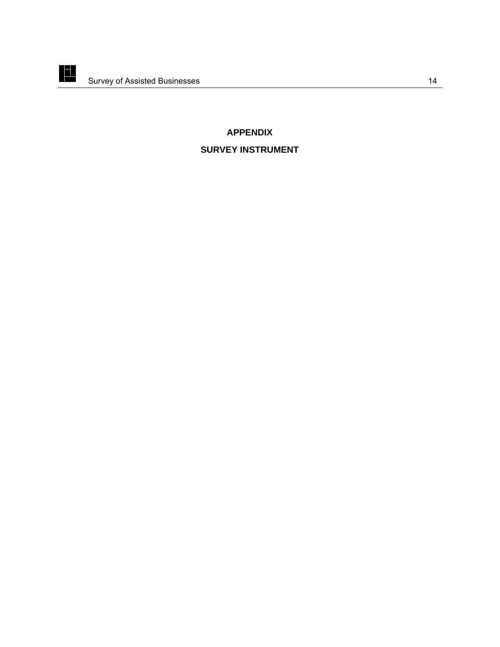

# **APPENDIX**

# **SURVEY INSTRUMENT**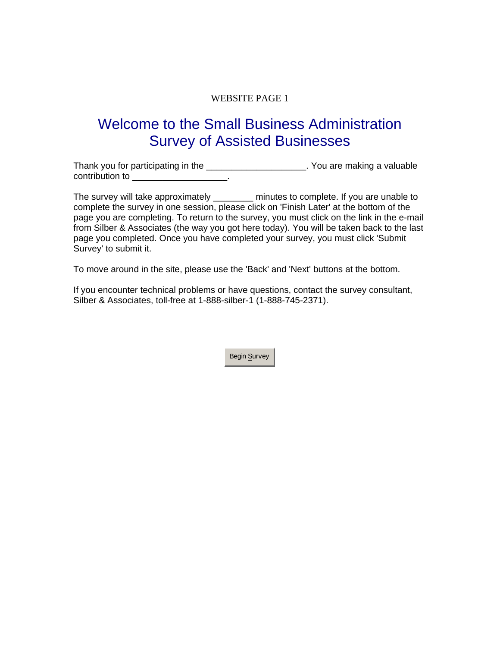# WEBSITE PAGE 1

# Welcome to the Small Business Administration Survey of Assisted Businesses

Thank you for participating in the \_\_\_\_\_\_\_\_\_\_\_\_\_\_\_\_\_\_\_\_\_\_. You are making a valuable contribution to \_\_\_\_\_\_\_\_\_\_\_\_\_\_\_\_\_\_\_\_\_\_.

The survey will take approximately \_\_\_\_\_\_\_ minutes to complete. If you are unable to complete the survey in one session, please click on 'Finish Later' at the bottom of the page you are completing. To return to the survey, you must click on the link in the e-mail from Silber & Associates (the way you got here today). You will be taken back to the last page you completed. Once you have completed your survey, you must click 'Submit Survey' to submit it.

To move around in the site, please use the 'Back' and 'Next' buttons at the bottom.

If you encounter technical problems or have questions, contact the survey consultant, Silber & Associates, toll-free at 1-888-silber-1 (1-888-745-2371).

Begin Survey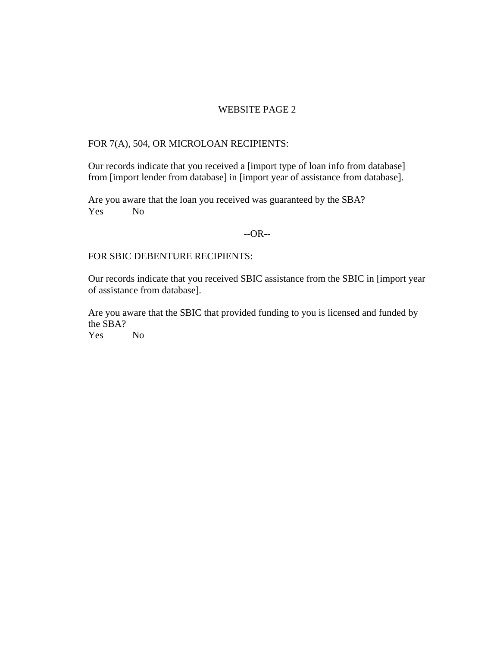#### WEBSITE PAGE 2

# FOR 7(A), 504, OR MICROLOAN RECIPIENTS:

Our records indicate that you received a [import type of loan info from database] from [import lender from database] in [import year of assistance from database].

Are you aware that the loan you received was guaranteed by the SBA? Yes No

#### --OR--

#### FOR SBIC DEBENTURE RECIPIENTS:

Our records indicate that you received SBIC assistance from the SBIC in [import year of assistance from database].

Are you aware that the SBIC that provided funding to you is licensed and funded by the SBA?

Yes No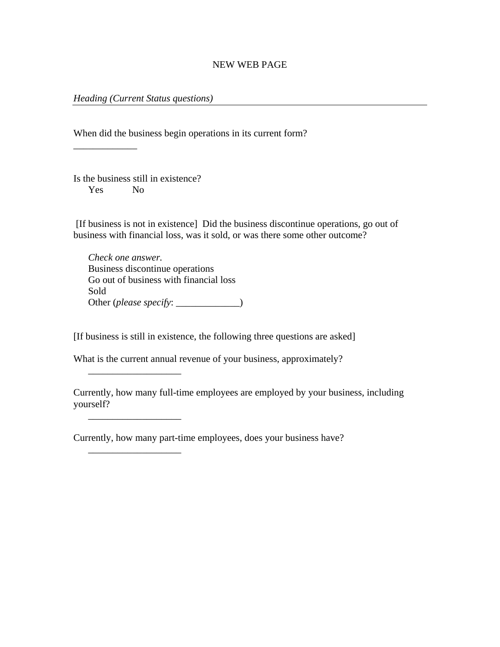#### *Heading (Current Status questions)*

When did the business begin operations in its current form?

\_\_\_\_\_\_\_\_\_\_\_\_\_

Is the business still in existence? Yes No

\_\_\_\_\_\_\_\_\_\_\_\_\_\_\_\_\_\_\_

\_\_\_\_\_\_\_\_\_\_\_\_\_\_\_\_\_\_\_

\_\_\_\_\_\_\_\_\_\_\_\_\_\_\_\_\_\_\_

 [If business is not in existence] Did the business discontinue operations, go out of business with financial loss, was it sold, or was there some other outcome?

*Check one answer.*  Business discontinue operations Go out of business with financial loss Sold Other (*please specify*: \_\_\_\_\_\_\_\_\_\_\_\_\_)

[If business is still in existence, the following three questions are asked]

What is the current annual revenue of your business, approximately?

Currently, how many full-time employees are employed by your business, including yourself?

Currently, how many part-time employees, does your business have?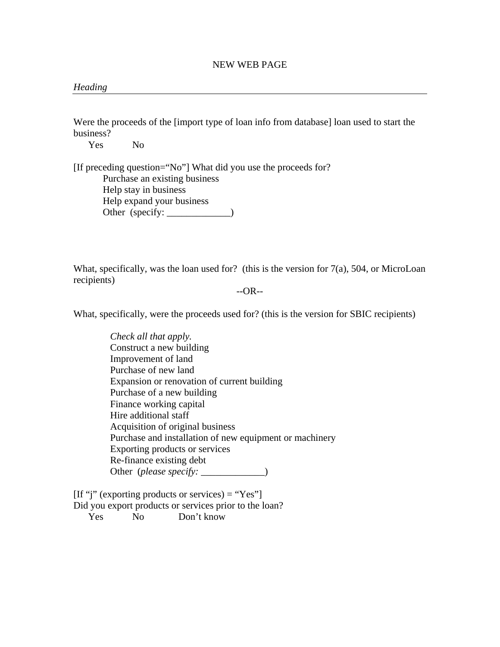#### *Heading*

Were the proceeds of the [import type of loan info from database] loan used to start the business?

Yes No

[If preceding question="No"] What did you use the proceeds for? Purchase an existing business Help stay in business Help expand your business Other (specify: \_\_\_\_\_\_\_\_\_\_\_\_\_)

What, specifically, was the loan used for? (this is the version for 7(a), 504, or MicroLoan recipients)

--OR--

What, specifically, were the proceeds used for? (this is the version for SBIC recipients)

*Check all that apply.*  Construct a new building Improvement of land Purchase of new land Expansion or renovation of current building Purchase of a new building Finance working capital Hire additional staff Acquisition of original business Purchase and installation of new equipment or machinery Exporting products or services Re-finance existing debt Other (*please specify*: \_\_\_\_\_\_\_\_\_\_\_\_)

 $[If "j" (exporting products or services) = "Yes"]$ Did you export products or services prior to the loan? Yes No Don't know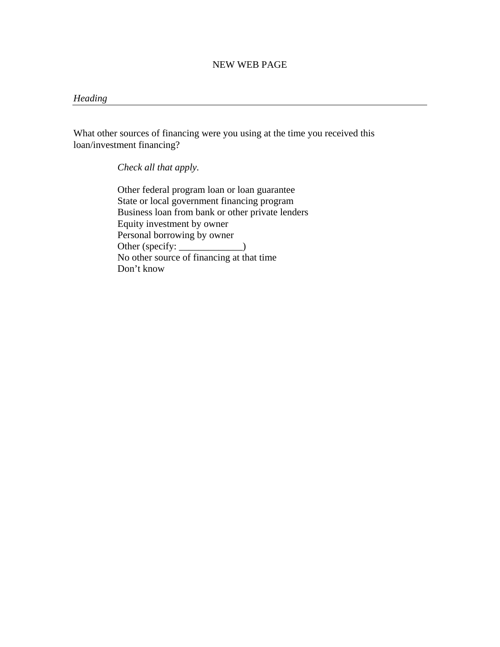#### *Heading*

What other sources of financing were you using at the time you received this loan/investment financing?

*Check all that apply.* 

Other federal program loan or loan guarantee State or local government financing program Business loan from bank or other private lenders Equity investment by owner Personal borrowing by owner Other (specify: \_\_\_\_\_\_\_\_\_\_\_\_) No other source of financing at that time Don't know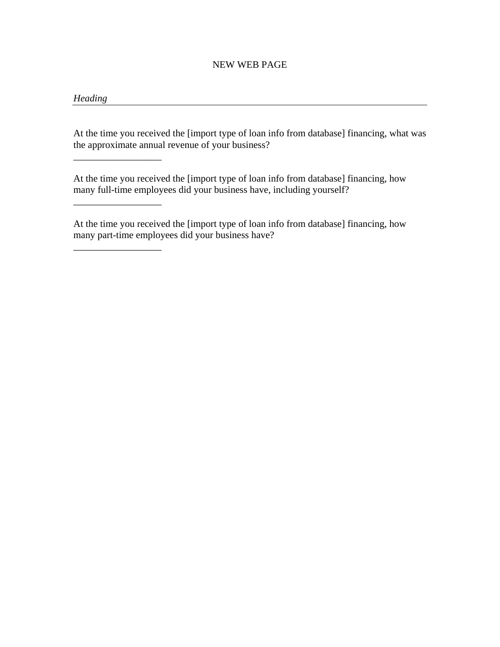# *Heading*

\_\_\_\_\_\_\_\_\_\_\_\_\_\_\_\_\_\_

\_\_\_\_\_\_\_\_\_\_\_\_\_\_\_\_\_\_

\_\_\_\_\_\_\_\_\_\_\_\_\_\_\_\_\_\_

At the time you received the [import type of loan info from database] financing, what was the approximate annual revenue of your business?

At the time you received the [import type of loan info from database] financing, how many full-time employees did your business have, including yourself?

At the time you received the [import type of loan info from database] financing, how many part-time employees did your business have?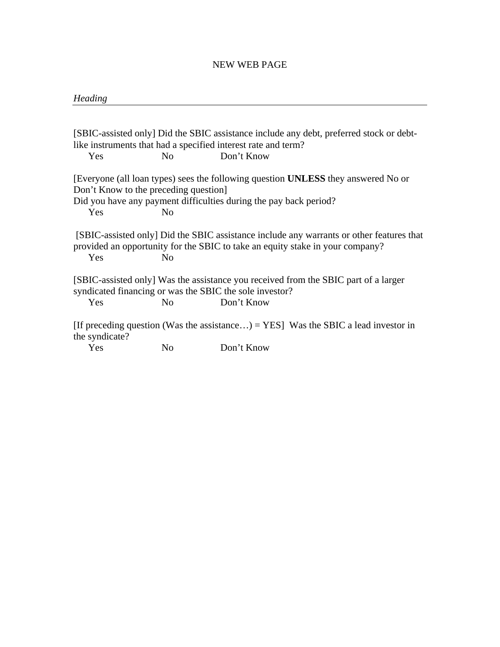#### *Heading*

[SBIC-assisted only] Did the SBIC assistance include any debt, preferred stock or debtlike instruments that had a specified interest rate and term? Yes No Don't Know [Everyone (all loan types) sees the following question **UNLESS** they answered No or Don't Know to the preceding question] Did you have any payment difficulties during the pay back period? Yes No [SBIC-assisted only] Did the SBIC assistance include any warrants or other features that provided an opportunity for the SBIC to take an equity stake in your company? Yes No [SBIC-assisted only] Was the assistance you received from the SBIC part of a larger syndicated financing or was the SBIC the sole investor? Yes No Don't Know [If preceding question (Was the assistance...) = YES] Was the SBIC a lead investor in the syndicate? Yes No Don't Know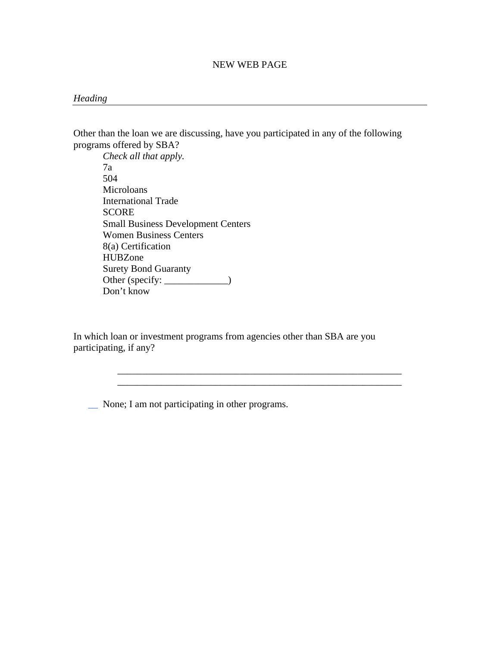#### *Heading*

Other than the loan we are discussing, have you participated in any of the following programs offered by SBA?

*Check all that apply.*  7a 504 Microloans International Trade **SCORE** Small Business Development Centers Women Business Centers 8(a) Certification HUBZone Surety Bond Guaranty Other (specify: \_\_\_\_\_\_\_\_\_\_\_\_\_) Don't know

In which loan or investment programs from agencies other than SBA are you participating, if any?

> \_\_\_\_\_\_\_\_\_\_\_\_\_\_\_\_\_\_\_\_\_\_\_\_\_\_\_\_\_\_\_\_\_\_\_\_\_\_\_\_\_\_\_\_\_\_\_\_\_\_\_\_\_\_\_\_\_\_ \_\_\_\_\_\_\_\_\_\_\_\_\_\_\_\_\_\_\_\_\_\_\_\_\_\_\_\_\_\_\_\_\_\_\_\_\_\_\_\_\_\_\_\_\_\_\_\_\_\_\_\_\_\_\_\_\_\_

\_\_ None; I am not participating in other programs.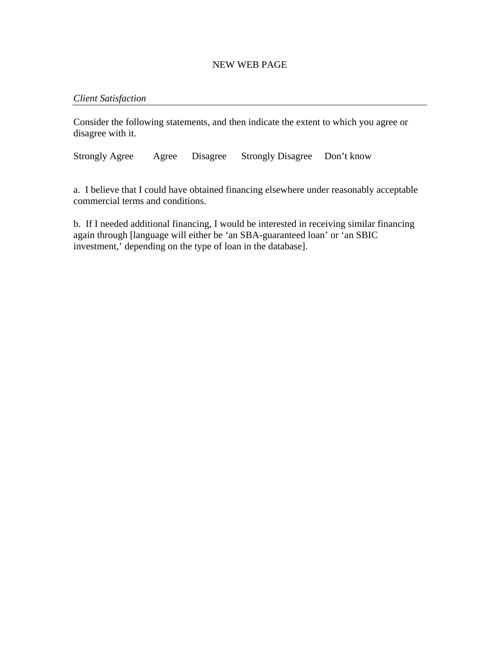#### *Client Satisfaction*

Consider the following statements, and then indicate the extent to which you agree or disagree with it.

Strongly Agree Agree Disagree Strongly Disagree Don't know

a. I believe that I could have obtained financing elsewhere under reasonably acceptable commercial terms and conditions.

b. If I needed additional financing, I would be interested in receiving similar financing again through [language will either be 'an SBA-guaranteed loan' or 'an SBIC investment,' depending on the type of loan in the database].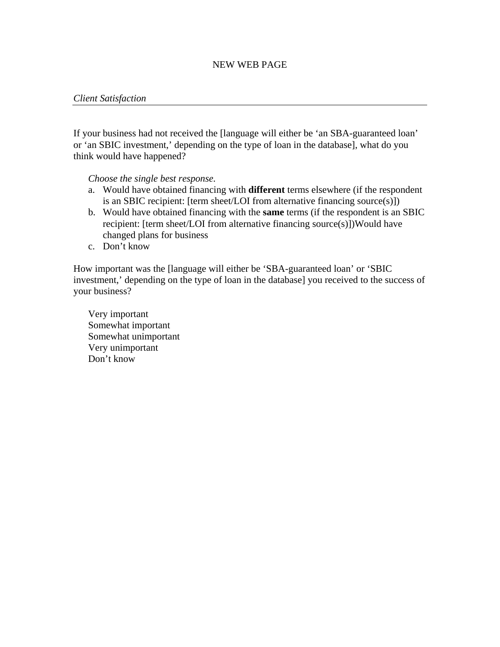#### *Client Satisfaction*

If your business had not received the [language will either be 'an SBA-guaranteed loan' or 'an SBIC investment,' depending on the type of loan in the database], what do you think would have happened?

*Choose the single best response.* 

- a. Would have obtained financing with **different** terms elsewhere (if the respondent is an SBIC recipient: [term sheet/LOI from alternative financing source(s)])
- b. Would have obtained financing with the **same** terms (if the respondent is an SBIC recipient: [term sheet/LOI from alternative financing source(s)])Would have changed plans for business
- c. Don't know

How important was the [language will either be 'SBA-guaranteed loan' or 'SBIC investment,' depending on the type of loan in the database] you received to the success of your business?

Very important Somewhat important Somewhat unimportant Very unimportant Don't know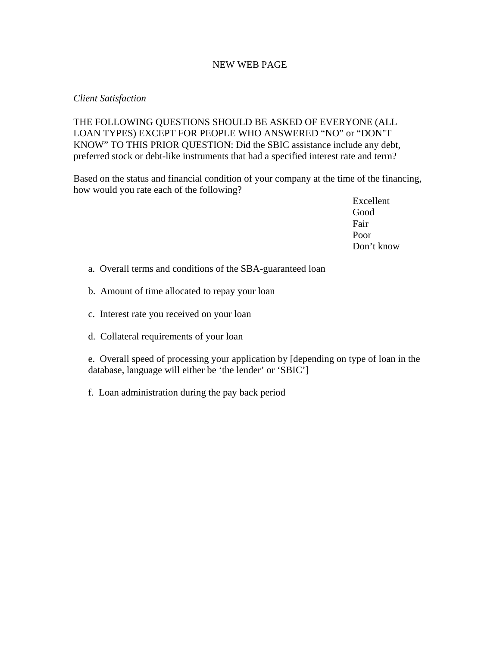#### *Client Satisfaction*

THE FOLLOWING QUESTIONS SHOULD BE ASKED OF EVERYONE (ALL LOAN TYPES) EXCEPT FOR PEOPLE WHO ANSWERED "NO" or "DON'T KNOW" TO THIS PRIOR QUESTION: Did the SBIC assistance include any debt, preferred stock or debt-like instruments that had a specified interest rate and term?

Based on the status and financial condition of your company at the time of the financing, how would you rate each of the following?

> Excellent Good Fair Poor Don't know

- a. Overall terms and conditions of the SBA-guaranteed loan
- b. Amount of time allocated to repay your loan
- c. Interest rate you received on your loan
- d. Collateral requirements of your loan

e. Overall speed of processing your application by [depending on type of loan in the database, language will either be 'the lender' or 'SBIC']

f. Loan administration during the pay back period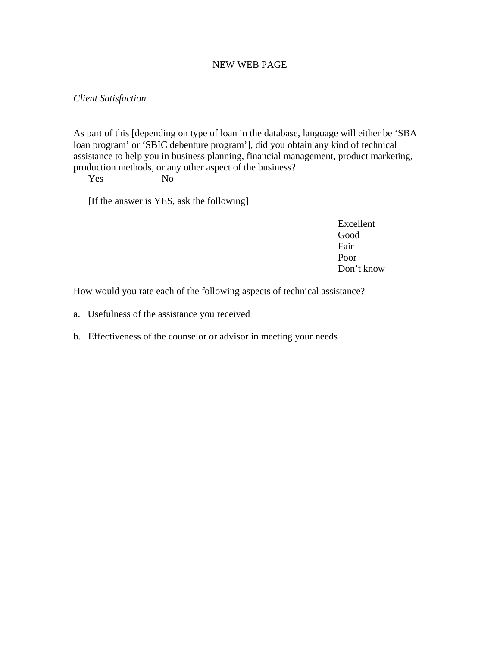#### *Client Satisfaction*

As part of this [depending on type of loan in the database, language will either be 'SBA loan program' or 'SBIC debenture program'], did you obtain any kind of technical assistance to help you in business planning, financial management, product marketing, production methods, or any other aspect of the business?

Yes No

[If the answer is YES, ask the following]

Excellent Good Fair Poor Don't know

How would you rate each of the following aspects of technical assistance?

- a. Usefulness of the assistance you received
- b. Effectiveness of the counselor or advisor in meeting your needs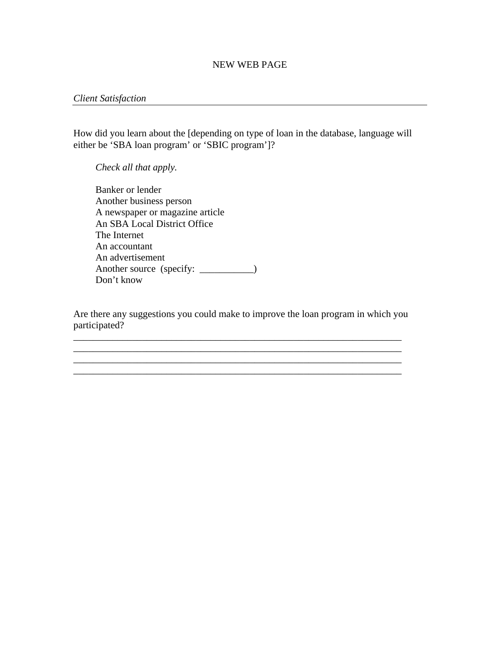#### *Client Satisfaction*

How did you learn about the [depending on type of loan in the database, language will either be 'SBA loan program' or 'SBIC program']?

*Check all that apply.* 

Banker or lender Another business person A newspaper or magazine article An SBA Local District Office The Internet An accountant An advertisement Another source (specify: \_\_\_\_\_\_\_\_\_) Don't know

Are there any suggestions you could make to improve the loan program in which you participated?

\_\_\_\_\_\_\_\_\_\_\_\_\_\_\_\_\_\_\_\_\_\_\_\_\_\_\_\_\_\_\_\_\_\_\_\_\_\_\_\_\_\_\_\_\_\_\_\_\_\_\_\_\_\_\_\_\_\_\_\_\_\_\_\_\_\_\_

\_\_\_\_\_\_\_\_\_\_\_\_\_\_\_\_\_\_\_\_\_\_\_\_\_\_\_\_\_\_\_\_\_\_\_\_\_\_\_\_\_\_\_\_\_\_\_\_\_\_\_\_\_\_\_\_\_\_\_\_\_\_\_\_\_\_\_ \_\_\_\_\_\_\_\_\_\_\_\_\_\_\_\_\_\_\_\_\_\_\_\_\_\_\_\_\_\_\_\_\_\_\_\_\_\_\_\_\_\_\_\_\_\_\_\_\_\_\_\_\_\_\_\_\_\_\_\_\_\_\_\_\_\_\_

\_\_\_\_\_\_\_\_\_\_\_\_\_\_\_\_\_\_\_\_\_\_\_\_\_\_\_\_\_\_\_\_\_\_\_\_\_\_\_\_\_\_\_\_\_\_\_\_\_\_\_\_\_\_\_\_\_\_\_\_\_\_\_\_\_\_\_